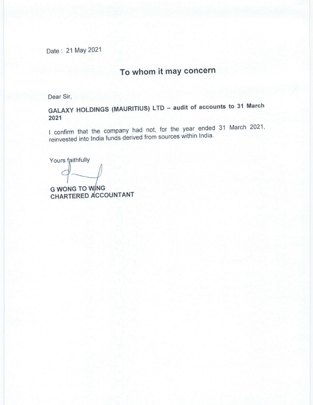Date: 21 May 2021

# To whom it may concern

Dear Sir,

GALAXY HOLDINGS (MAURITIUS) LTD - audit of accounts to 31 March 2021

I confirm that the company had not, for the year ended 31 March 2021, reinvested into India funds derived from sources within India.

Yours faithfully

G WONG TO WING

CHARTERED ACCOUNTANT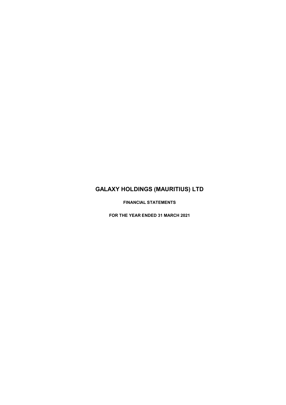FINANCIAL STATEMENTS

FOR THE YEAR ENDED 31 MARCH 2021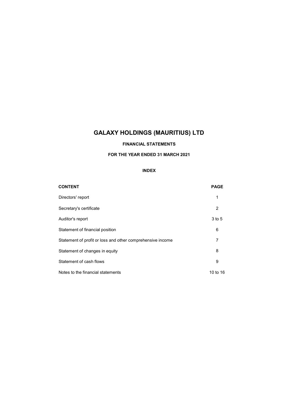## FINANCIAL STATEMENTS

### FOR THE YEAR ENDED 31 MARCH 2021

## INDEX

| <b>CONTENT</b>                                             | <b>PAGE</b> |
|------------------------------------------------------------|-------------|
| Directors' report                                          | 1           |
| Secretary's certificate                                    | 2           |
| Auditor's report                                           | $3$ to $5$  |
| Statement of financial position                            | 6           |
| Statement of profit or loss and other comprehensive income | 7           |
| Statement of changes in equity                             | 8           |
| Statement of cash flows                                    | 9           |
| Notes to the financial statements                          | 10 to 16    |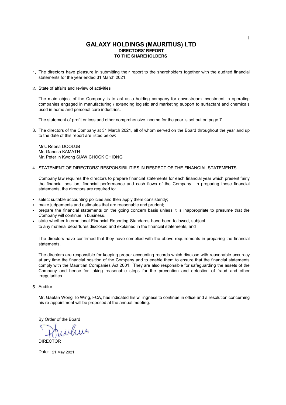## GALAXY HOLDINGS (MAURITIUS) LTD TO THE SHAREHOLDERS DIRECTORS' REPORT

- 1. The directors have pleasure in submitting their report to the shareholders together with the audited financial statements for the year ended 31 March 2021.
- 2. State of affairs and review of activities

The main object of the Company is to act as a holding company for downstream investment in operating companies engaged in manufacturing / extending logistic and marketing support to surfactant and chemicals used in home and personal care industries.

The statement of profit or loss and other comprehensive income for the year is set out on page 7.

3. The directors of the Company at 31 March 2021, all of whom served on the Board throughout the year and up to the date of this report are listed below:

Mrs. Reena DOOLUB Mr. Ganesh KAMATH Mr. Peter In Kwong SIAW CHOCK CHIONG

4. STATEMENT OF DIRECTORS' RESPONSIBILITIES IN RESPECT OF THE FINANCIAL STATEMENTS

Company law requires the directors to prepare financial statements for each financial year which present fairly the financial position, financial performance and cash flows of the Company. In preparing those financial statements, the directors are required to:

- select suitable accounting policies and then apply them consistently;
- make judgements and estimates that are reasonable and prudent;
- prepare the financial statements on the going concern basis unless it is inappropriate to presume that the Company will continue in business.
- state whether International Financial Reporting Standards have been followed, subject to any material departures disclosed and explained in the financial statements, and

The directors have confirmed that they have complied with the above requirements in preparing the financial statements.

The directors are responsible for keeping proper accounting records which disclose with reasonable accuracy at any time the financial position of the Company and to enable them to ensure that the financial statements comply with the Mauritian Companies Act 2001. They are also responsible for safeguarding the assets of the Company and hence for taking reasonable steps for the prevention and detection of fraud and other irregularities.

5. Auditor

Mr. Gaetan Wong To Wing, FCA, has indicated his willingness to continue in office and a resolution concerning his re-appointment will be proposed at the annual meeting.

By Order of the Board

Mur DIRECTOR

Date: 21 May 2021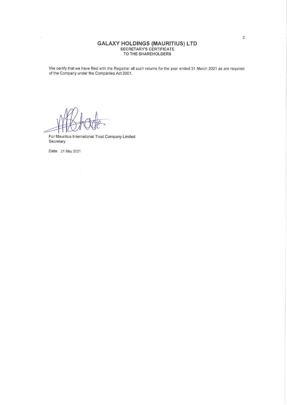## **GALAXY HOLDINGS (MAURITIUS) LTD** SECRETARY'S CERTIFICATE<br>TO THE SHAREHOLDERS

We certify that we have filed with the Registrar all such returns for the year ended 31 March 2021 as are required of the Company under the Companies Act 2001.

 $\sim$ 

For Mauritius International Trust Company Limited Secretary

Date: 21 May 2021

 $\mathcal{Q}$ 

 $\sim$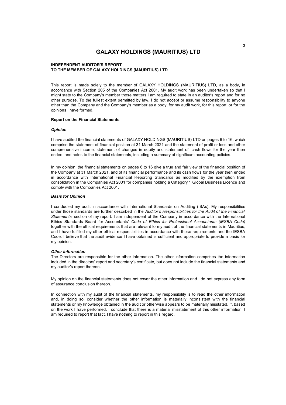#### INDEPENDENT AUDITOR'S REPORT TO THE MEMBER OF GALAXY HOLDINGS (MAURITIUS) LTD

This report is made solely to the member of GALAXY HOLDINGS (MAURITIUS) LTD, as a body, in accordance with Section 205 of the Companies Act 2001. My audit work has been undertaken so that I might state to the Company's member those matters I am required to state in an auditor's report and for no other purpose. To the fullest extent permitted by law, I do not accept or assume responsibility to anyone other than the Company and the Company's member as a body, for my audit work, for this report, or for the opinions I have formed.

#### Report on the Financial Statements

#### **Opinion**

I have audited the financial statements of GALAXY HOLDINGS (MAURITIUS) LTD on pages 6 to 16, which comprise the statement of financial position at 31 March 2021 and the statement of profit or loss and other comprehensive income, statement of changes in equity and statement of cash flows for the year then ended, and notes to the financial statements, including a summary of significant accounting policies.

In my opinion, the financial statements on pages 6 to 16 give a true and fair view of the financial position of the Company at 31 March 2021, and of its financial performance and its cash flows for the year then ended in accordance with International Financial Reporting Standards as modified by the exemption from consolidation in the Companies Act 2001 for companies holding a Category 1 Global Business Licence and comply with the Companies Act 2001.

#### Basis for Opinion

I conducted my audit in accordance with International Standards on Auditing (ISAs). My responsibilities under those standards are further described in the Auditor's Responsibilities for the Audit of the Financial Statements section of my report. I am independent of the Company in accordance with the International Ethics Standards Board for Accountants' Code of Ethics for Professional Accountants (IESBA Code) together with the ethical requirements that are relevant to my audit of the financial statements in Mauritius, and I have fulfilled my other ethical responsibilities in accordance with these requirements and the IESBA Code. I believe that the audit evidence I have obtained is sufficient and appropriate to provide a basis for my opinion.

#### Other information

The Directors are responsible for the other information. The other information comprises the information included in the directors' report and secretary's certificate, but does not include the financial statements and my auditor's report thereon.

My opinion on the financial statements does not cover the other information and I do not express any form of assurance conclusion thereon.

In connection with my audit of the financial statements, my responsibility is to read the other information and, in doing so, consider whether the other information is materially inconsistent with the financial statements or my knowledge obtained in the audit or otherwise appears to be materially misstated. If, based on the work I have performed, I conclude that there is a material misstatement of this other information, I am required to report that fact. I have nothing to report in this regard.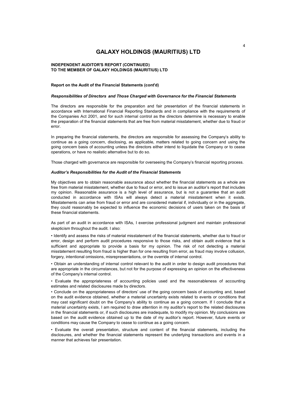#### TO THE MEMBER OF GALAXY HOLDINGS (MAURITIUS) LTD INDEPENDENT AUDITOR'S REPORT (CONTINUED)

#### Report on the Audit of the Financial Statements (cont'd)

#### Responsibilities of Directors and Those Charged with Governance for the Financial Statements

The directors are responsible for the preparation and fair presentation of the financial statements in accordance with International Financial Reporting Standards and in compliance with the requirements of the Companies Act 2001, and for such internal control as the directors determine is necessary to enable the preparation of the financial statements that are free from material misstatement, whether due to fraud or error.

In preparing the financial statements, the directors are responsible for assessing the Company's ability to continue as a going concern, disclosing, as applicable, matters related to going concern and using the going concern basis of accounting unless the directors either intend to liquidate the Company or to cease operations, or have no realistic alternative but to do so.

Those charged with governance are responsible for overseeing the Company's financial reporting process.

#### Auditor's Responsibilities for the Audit of the Financial Statements

My objectives are to obtain reasonable assurance about whether the financial statements as a whole are free from material misstatement, whether due to fraud or error, and to issue an auditor's report that includes my opinion. Reasonable assurance is a high level of assurance, but is not a guarantee that an audit conducted in accordance with ISAs will always detect a material misstatement when it exists. Misstatements can arise from fraud or error and are considered material if, individually or in the aggregate, they could reasonably be expected to influence the economic decisions of users taken on the basis of these financial statements.

As part of an audit in accordance with ISAs, I exercise professional judgment and maintain professional skepticism throughout the audit. I also:

• Identify and assess the risks of material misstatement of the financial statements, whether due to fraud or error, design and perform audit procedures responsive to those risks, and obtain audit evidence that is sufficient and appropriate to provide a basis for my opinion. The risk of not detecting a material misstatement resulting from fraud is higher than for one resulting from error, as fraud may involve collusion, forgery, intentional omissions, misrepresentations, or the override of internal control.

• Obtain an understanding of internal control relevant to the audit in order to design audit procedures that are appropriate in the circumstances, but not for the purpose of expressing an opinion on the effectiveness of the Company's internal control.

• Evaluate the appropriateness of accounting policies used and the reasonableness of accounting estimates and related disclosures made by directors.

• Conclude on the appropriateness of directors' use of the going concern basis of accounting and, based on the audit evidence obtained, whether a material uncertainty exists related to events or conditions that may cast significant doubt on the Company's ability to continue as a going concern. If I conclude that a material uncertainty exists, I am required to draw attention in my auditor's report to the related disclosures in the financial statements or, if such disclosures are inadequate, to modify my opinion. My conclusions are based on the audit evidence obtained up to the date of my auditor's report. However, future events or conditions may cause the Company to cease to continue as a going concern.

• Evaluate the overall presentation, structure and content of the financial statements, including the disclosures, and whether the financial statements represent the underlying transactions and events in a manner that achieves fair presentation.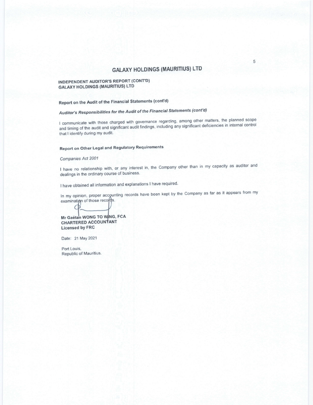### INDEPENDENT AUDITOR'S REPORT (CONT'D) GALAXY HOLDINGS (MAURITIUS) LTD

## Report on the Audit of the Financial Statements (cont'd)

## Auditor's Responsibilities for the Audit of the Financial Statements (cont'd)

I communicate with those charged with governance regarding, among other matters, the planned scope and timing of the audit and significant audit findings, including any significant deficiencies in internal control that I identify during my audit.

## Report on Other Legal and Regulatory Requirements

### Companies Act 2001

I have no relationship with, or any interest in, the company other than in my capacity as auditor and dealings in the ordinary course of business.

I have obtained all information and explanations I have required.

In my opinion, proper accounting records have been kept by the Company as far as it appears from my examination of those records.

Mr Gaëtan WONG TO WING, FCA CHARTERED ACCOUNtANT Licensed bY FRC

Date: 21 May 2O21

Port Louis, Republic of Mauritius.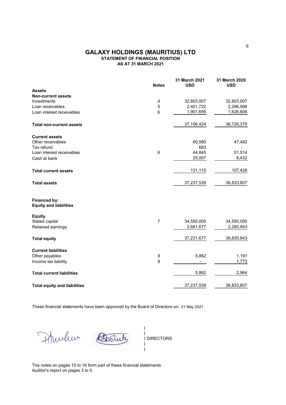## AS AT 31 MARCH 2021 STATEMENT OF FINANCIAL POSITION GALAXY HOLDINGS (MAURITIUS) LTD

|                                               | <b>Notes</b>   | 31 March 2021<br><b>USD</b> | 31 March 2020<br><b>USD</b> |
|-----------------------------------------------|----------------|-----------------------------|-----------------------------|
| <b>Assets</b>                                 |                |                             |                             |
| <b>Non-current assets</b>                     |                |                             |                             |
| Investments                                   | 4              | 32,803,007                  | 32,803,007                  |
| Loan receivables                              | 5              | 2,401,722                   | 2,296,566                   |
| Loan interest receivables                     | 6              | 1,901,695                   | 1,626,806                   |
| <b>Total non-current assets</b>               |                | 37,106,424                  | 36,726,379                  |
| <b>Current assets</b>                         |                |                             |                             |
| Other receivables                             |                | 60,580                      | 47,482                      |
| Tax refund                                    |                | 683                         |                             |
| Loan interest receivables                     | $\,6$          | 44,845                      | 51,514                      |
| Cash at bank                                  |                | 25,007                      | 8,432                       |
| <b>Total current assets</b>                   |                | 131, 115                    | 107,428                     |
| <b>Total assets</b>                           |                | 37,237,539                  | 36,833,807                  |
| Financed by:<br><b>Equity and liabilities</b> |                |                             |                             |
| <b>Equity</b>                                 |                |                             |                             |
| Stated capital                                | $\overline{7}$ | 34,550,000                  | 34,550,000                  |
| Retained earnings                             |                | 2,681,677                   | 2,280,843                   |
| <b>Total equity</b>                           |                | 37,231,677                  | 36,830,843                  |
| <b>Current liabilities</b>                    |                |                             |                             |
| Other payables                                | 8              | 5,862                       | 1,191                       |
| Income tax liability                          | 9              |                             | 1,773                       |
| <b>Total current liabilities</b>              |                | 5,862                       | 2,964                       |
| <b>Total equity and liabilities</b>           |                | 37,237,539                  | 36,833,807                  |

These financial statements have been approved by the Board of Directors on: 21 May 2021

) Bootus mulun ) ) DIRECTORS ) )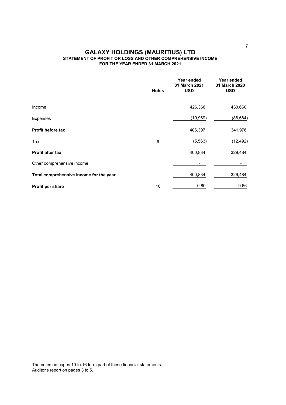## FOR THE YEAR ENDED 31 MARCH 2021 STATEMENT OF PROFIT OR LOSS AND OTHER COMPREHENSIVE INCOME GALAXY HOLDINGS (MAURITIUS) LTD

|                                         | <b>Notes</b> | Year ended<br>31 March 2021<br><b>USD</b> | Year ended<br>31 March 2020<br><b>USD</b> |
|-----------------------------------------|--------------|-------------------------------------------|-------------------------------------------|
| Income                                  |              | 426,366                                   | 430,660                                   |
|                                         |              |                                           |                                           |
| <b>Expenses</b>                         |              | (19,969)                                  | (88, 684)                                 |
| Profit before tax                       |              | 406,397                                   | 341,976                                   |
| Tax                                     | 9            | (5, 563)                                  | (12, 492)                                 |
| Profit after tax                        |              | 400,834                                   | 329,484                                   |
| Other comprehensive income              |              |                                           |                                           |
| Total comprehensive income for the year |              | 400,834                                   | 329,484                                   |
| Profit per share                        | 10           | 0.80                                      | 0.66                                      |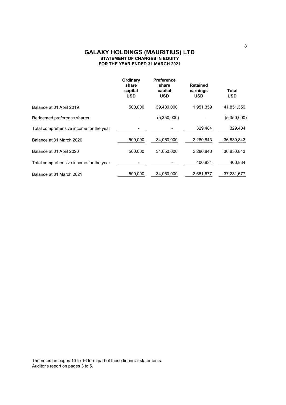## FOR THE YEAR ENDED 31 MARCH 2021 STATEMENT OF CHANGES IN EQUITY GALAXY HOLDINGS (MAURITIUS) LTD

|                                         | Ordinary<br>share<br>capital<br><b>USD</b> | <b>Preference</b><br>share<br>capital<br><b>USD</b> | <b>Retained</b><br>earnings<br><b>USD</b> | Total<br><b>USD</b> |
|-----------------------------------------|--------------------------------------------|-----------------------------------------------------|-------------------------------------------|---------------------|
| Balance at 01 April 2019                | 500,000                                    | 39,400,000                                          | 1,951,359                                 | 41,851,359          |
| Redeemed preference shares              |                                            | (5,350,000)                                         |                                           | (5,350,000)         |
| Total comprehensive income for the year |                                            |                                                     | 329.484                                   | 329,484             |
| Balance at 31 March 2020                | 500,000                                    | 34,050,000                                          | 2,280,843                                 | 36,830,843          |
| Balance at 01 April 2020                | 500,000                                    | 34,050,000                                          | 2,280,843                                 | 36,830,843          |
| Total comprehensive income for the year |                                            |                                                     | 400.834                                   | 400,834             |
| Balance at 31 March 2021                | 500,000                                    | 34,050,000                                          | 2,681,677                                 | 37,231,677          |
|                                         |                                            |                                                     |                                           |                     |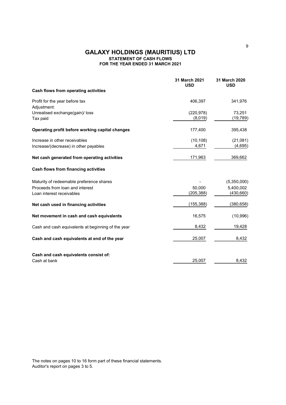## FOR THE YEAR ENDED 31 MARCH 2021 STATEMENT OF CASH FLOWS GALAXY HOLDINGS (MAURITIUS) LTD

|                                                    | 31 March 2021<br><b>USD</b> | 31 March 2020<br><b>USD</b> |
|----------------------------------------------------|-----------------------------|-----------------------------|
| Cash flows from operating activities               |                             |                             |
| Profit for the year before tax<br>Adjustment:      | 406,397                     | 341,976                     |
| Unrealised exchange(gain)/ loss                    | (220, 978)                  | 73,251                      |
| Tax paid                                           | (8,019)                     | (19, 789)                   |
| Operating profit before working capital changes    | 177,400                     | 395,438                     |
| Increase in other receivables                      | (10, 108)                   | (21,081)                    |
| Increase/(decrease) in other payables              | 4,671                       | (4,695)                     |
| Net cash generated from operating activities       | 171,963                     | 369,662                     |
| Cash flows from financing activities               |                             |                             |
| Maturity of redeemable preference shares           |                             | (5,350,000)                 |
| Proceeds from loan and interest                    | 50,000                      | 5,400,002                   |
| Loan interest receivables                          | (205,388)                   | (430, 660)                  |
| Net cash used in financing activities              | (155, 388)                  | (380, 658)                  |
| Net movement in cash and cash equivalents          | 16,575                      | (10, 996)                   |
| Cash and cash equivalents at beginning of the year | 8,432                       | 19,428                      |
| Cash and cash equivalents at end of the year       | 25,007                      | 8,432                       |
| Cash and cash equivalents consist of:              |                             |                             |
| Cash at bank                                       | 25,007                      | 8,432                       |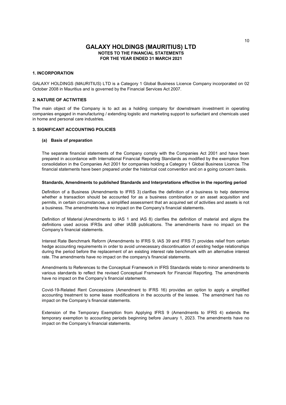#### 1. INCORPORATION

GALAXY HOLDINGS (MAURITIUS) LTD is a Category 1 Global Business Licence Company incorporated on 02 October 2008 in Mauritius and is governed by the Financial Services Act 2007.

#### 2. NATURE OF ACTIVITIES

The main object of the Company is to act as a holding company for downstream investment in operating companies engaged in manufacturing / extending logistic and marketing support to surfactant and chemicals used in home and personal care industries.

#### 3. SIGNIFICANT ACCOUNTING POLICIES

#### (a) Basis of preparation

The separate financial statements of the Company comply with the Companies Act 2001 and have been prepared in accordance with International Financial Reporting Standards as modified by the exemption from consolidation in the Companies Act 2001 for companies holding a Category 1 Global Business Licence. The financial statements have been prepared under the historical cost convention and on a going concern basis.

#### Standards, Amendments to published Standards and Interpretations effective in the reporting period

Definition of a Business (Amendments to IFRS 3) clarifies the definition of a business to help determine whether a transaction should be accounted for as a business combination or an asset acquisition and permits, in certain circumstances, a simplified assessment that an acquired set of activities and assets is not a business. The amendments have no impact on the Company's financial statements.

Definition of Material (Amendments to IAS 1 and IAS 8) clarifies the definition of material and aligns the definitions used across IFRSs and other IASB publications. The amendments have no impact on the Company's financial statements.

Interest Rate Benchmark Reform (Amendments to IFRS 9, IAS 39 and IFRS 7) provides relief from certain hedge accounting requirements in order to avoid unnecessary discontinuation of existing hedge relationships during the period before the replacement of an existing interest rate benchmark with an alternative interest rate. The amendments have no impact on the company's financial statements.

Amendments to References to the Conceptual Framework in IFRS Standards relate to minor amendments to various standards to reflect the revised Conceptual Framework for Financial Reporting. The amendments have no impact on the Company's financial statements.

Covid-19-Related Rent Concessions (Amendment to IFRS 16) provides an option to apply a simplified accounting treatment to some lease modifications in the accounts of the lessee. The amendment has no impact on the Company's financial statements.

Extension of the Temporary Exemption from Applying IFRS 9 (Amendments to IFRS 4) extends the temporary exemption to accounting periods beginning before January 1, 2023. The amendments have no impact on the Company's financial statements.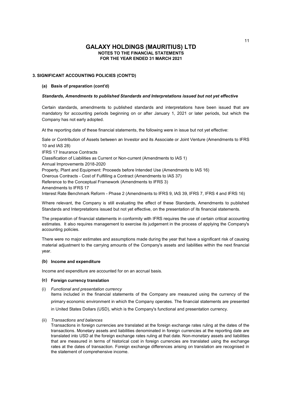#### 3. SIGNIFICANT ACCOUNTING POLICIES (CONT'D)

#### (a) Basis of preparation (cont'd)

#### Standards, Amendments to published Standards and Interpretations issued but not yet effective

Certain standards, amendments to published standards and interpretations have been issued that are mandatory for accounting periods beginning on or after January 1, 2021 or later periods, but which the Company has not early adopted.

At the reporting date of these financial statements, the following were in issue but not yet effective:

IFRS 17 Insurance Contracts Classification of Liabilities as Current or Non-current (Amendments to IAS 1) Annual Improvements 2018-2020 Property, Plant and Equipment: Proceeds before Intended Use (Amendments to IAS 16) Onerous Contracts - Cost of Fulfilling a Contract (Amendments to IAS 37) Reference to the Conceptual Framework (Amendments to IFRS 3) Amendments to IFRS 17 Interest Rate Benchmark Reform - Phase 2 (Amendments to IFRS 9, IAS 39, IFRS 7, IFRS 4 and IFRS 16) Sale or Contribution of Assets between an Investor and its Associate or Joint Venture (Amendments to IFRS 10 and IAS 28)

Where relevant, the Company is still evaluating the effect of these Standards, Amendments to published Standards and Interpretations issued but not yet effective, on the presentation of its financial statements.

The preparation of financial statements in conformity with IFRS requires the use of certain critical accounting estimates. It also requires management to exercise its judgement in the process of applying the Company's accounting policies.

There were no major estimates and assumptions made during the year that have a significant risk of causing material adjustment to the carrying amounts of the Company's assets and liabilities within the next financial year.

#### (b) Income and expenditure

Income and expenditure are accounted for on an accrual basis.

#### (c) Foreign currency translation

(i) Functional and presentation currency

Items included in the financial statements of the Company are measured using the currency of the primary economic environment in which the Company operates. The financial statements are presented in United States Dollars (USD), which is the Company's functional and presentation currency.

#### (ii) Transactions and balances

Transactions in foreign currencies are translated at the foreign exchange rates ruling at the dates of the transactions. Monetary assets and liabilities denominated in foreign currencies at the reporting date are translated into USD at the foreign exchange rates ruling at that date. Non-monetary assets and liabilities that are measured in terms of historical cost in foreign currencies are translated using the exchange rates at the dates of transaction. Foreign exchange differences arising on translation are recognised in the statement of comprehensive income.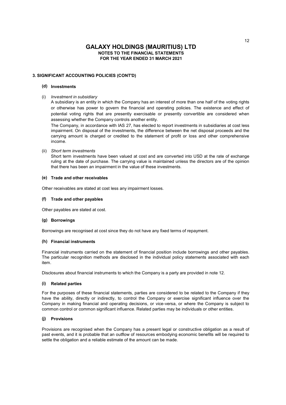#### 3. SIGNIFICANT ACCOUNTING POLICIES (CONT'D)

### (d) Investments

(i) Investment in subsidiary

A subsidiary is an entity in which the Company has an interest of more than one half of the voting rights or otherwise has power to govern the financial and operating policies. The existence and effect of potential voting rights that are presently exercisable or presently convertible are considered when assessing whether the Company controls another entity.

The Company, in accordance with IAS 27, has elected to report investments in subsidiaries at cost less impairment. On disposal of the investments, the difference between the net disposal proceeds and the carrying amount is charged or credited to the statement of profit or loss and other comprehensive income.

(ii) Short term investments

Short term investments have been valued at cost and are converted into USD at the rate of exchange ruling at the date of purchase. The carrying value is maintained unless the directors are of the opinion that there has been an impairment in the value of these investments.

### (e) Trade and other receivables

Other receivables are stated at cost less any impairment losses.

#### (f) Trade and other payables

Other payables are stated at cost.

#### (g) Borrowings

Borrowings are recognised at cost since they do not have any fixed terms of repayment.

#### (h) Financial instruments

Financial instruments carried on the statement of financial position include borrowings and other payables. The particular recognition methods are disclosed in the individual policy statements associated with each item.

Disclosures about financial instruments to which the Company is a party are provided in note 12.

#### (i) Related parties

For the purposes of these financial statements, parties are considered to be related to the Company if they have the ability, directly or indirectly, to control the Company or exercise significant influence over the Company in making financial and operating decisions, or vice-versa, or where the Company is subject to common control or common significant influence. Related parties may be individuals or other entities.

#### (j) Provisions

Provisions are recognised when the Company has a present legal or constructive obligation as a result of past events, and it is probable that an outflow of resources embodying economic benefits will be required to settle the obligation and a reliable estimate of the amount can be made.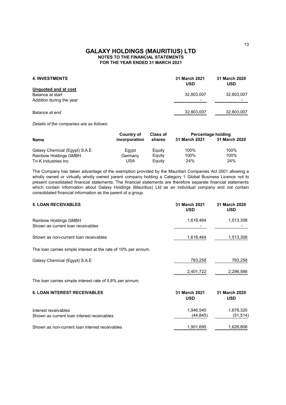| <b>4. INVESTMENTS</b>                                                | 31 March 2021<br><b>USD</b>            | 31 March 2020<br><b>USD</b>            |
|----------------------------------------------------------------------|----------------------------------------|----------------------------------------|
| Unquoted and at cost<br>Balance at start<br>Addition during the year | 32,803,007<br>$\overline{\phantom{0}}$ | 32,803,007<br>$\overline{\phantom{a}}$ |
| Balance at end                                                       | 32,803,007                             | 32,803,007                             |

Details of the companies are as follows:

|                               | <b>Country of</b> | <b>Class of</b> | Percentage holding |               |
|-------------------------------|-------------------|-----------------|--------------------|---------------|
| <b>Name</b>                   | incorporation     | shares          | 31 March 2021      | 31 March 2020 |
| Galaxy Chemical (Eqypt) S.A.E | Eqvpt             | Eauity          | 100%               | 100%          |
| Rainbow Holdings GMBH         | Germany           | Eauity          | 100%               | 100%          |
| Tri-K Industries Inc          | USA               | Eauity          | 24%                | 24%           |

The Company has taken advantage of the exemption provided by the Mauritian Companies Act 2001 allowing a wholly owned or virtually wholly owned parent company holding a Category 1 Global Business Licence not to present consolidated financial statements. The financial statements are therefore separate financial statements which contain information about Galaxy Holdings (Mauritius) Ltd as an individual company and not contain consolidated financial information as the parent of a group.

| <b>5. LOAN RECEIVABLES</b>                                         | 31 March 2021<br><b>USD</b> | 31 March 2020<br><b>USD</b> |
|--------------------------------------------------------------------|-----------------------------|-----------------------------|
| Rainbow Holdings GMBH<br>Shown as current loan receivables         | 1,618,464                   | 1,513,308                   |
| Shown as non-current loan receivables                              | 1,618,464                   | 1,513,308                   |
| The loan carries simple interest at the rate of 10% per annum.     |                             |                             |
| Galaxy Chemical (Egypt) S.A.E                                      | 783,258                     | 783,258                     |
|                                                                    | 2,401,722                   | 2,296,566                   |
| The loan carries simple interest rate of 5.8% per annum.           |                             |                             |
| <b>6. LOAN INTEREST RECEIVABLES</b>                                | 31 March 2021<br><b>USD</b> | 31 March 2020<br><b>USD</b> |
| Interest receivables<br>Shown as current loan interest receivables | 1,946,540<br>(44, 845)      | 1,678,320<br>(51, 514)      |
| Shown as non-current loan interest receivables                     | 1,901,695                   | 1,626,806                   |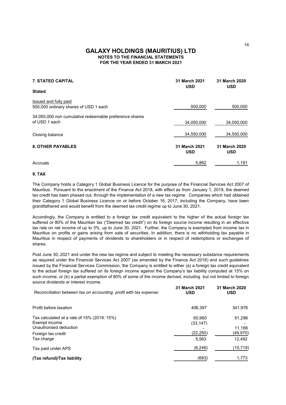## GALAXY HOLDINGS (MAURITIUS) LTD FOR THE YEAR ENDED 31 MARCH 2021 NOTES TO THE FINANCIAL STATEMENTS

| <b>7. STATED CAPITAL</b>                                                | 31 March 2021<br><b>USD</b> | 31 March 2020<br><b>USD</b> |
|-------------------------------------------------------------------------|-----------------------------|-----------------------------|
| <b>Stated</b>                                                           |                             |                             |
| Issued and fully paid<br>500,000 ordinary shares of USD 1 each          | 500,000                     | 500,000                     |
| 34,050,000 non cumulative redeemable preference shares<br>of USD 1 each | 34,050,000                  | 34,050,000                  |
| Closing balance                                                         | 34,550,000                  | 34,550,000                  |
| <b>8. OTHER PAYABLES</b>                                                | 31 March 2021<br><b>USD</b> | 31 March 2020<br><b>USD</b> |
| Accruals                                                                | 5,862                       | 1,191                       |

#### 9. TAX

The Company holds a Category 1 Global Business Licence for the purpose of the Financial Services Act 2007 of Mauritius. Pursuant to the enactment of the Finance Act 2018, with effect as from January 1, 2019, the deemed tax credit has been phased out, through the implementation of a new tax regime. Companies which had obtained their Category 1 Global Business Licence on or before October 16, 2017, including the Company, have been grandfathered and would benefit from the deemed tax credit regime up to June 30, 2021.

Accordingly, the Company is entitled to a foreign tax credit equivalent to the higher of the actual foreign tax suffered or 80% of the Mauritian tax ("Deemed tax credit") on its foreign source income resulting in an effective tax rate on net income of up to 3%, up to June 30, 2021. Further, the Company is exempted from income tax in Mauritius on profits or gains arising from sale of securities. In addition, there is no withholding tax payable in Mauritius in respect of payments of dividends to shareholders or in respect of redemptions or exchanges of shares.

Post June 30, 2021 and under the new tax regime and subject to meeting the necessary substance requirements as required under the Financial Services Act 2007 (as amended by the Finance Act 2018) and such guidelines issued by the Financial Services Commission, the Company is entitled to either (a) a foreign tax credit equivalent to the actual foreign tax suffered on its foreign income against the Company's tax liability computed at 15% on such income, or (b) a partial exemption of 80% of some of the income derived, including but not limited to foreign source dividends or interest income.

| Reconciliation between tax on accounting profit with tax expense:                             | <b>31 March 2021</b><br><b>USD</b> | <b>31 March 2020</b><br><b>USD</b> |
|-----------------------------------------------------------------------------------------------|------------------------------------|------------------------------------|
| Profit before taxation                                                                        | 406.397                            | 341,976                            |
| Tax calculated at a rate of $15\%$ (2019: $15\%$ )<br>Exempt income<br>Unauthorised deduction | 60.960<br>(33, 147)                | 51,296<br>11.166                   |
| Foreign tax credit                                                                            | (22, 250)                          | (49,970)                           |
| Tax charge                                                                                    | 5,563                              | 12,492                             |
| Tax paid under APS                                                                            | (6, 246)                           | (10,719)                           |
| (Tax refund)/Tax liability                                                                    | (683)                              | 1,773                              |

14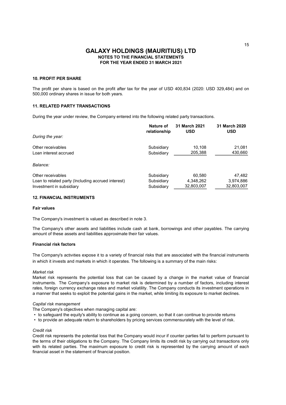#### 10. PROFIT PER SHARE

The profit per share is based on the profit after tax for the year of USD 400,834 (2020: USD 329,484) and on 500,000 ordinary shares in issue for both years.

#### 11. RELATED PARTY TRANSACTIONS

During the year under review, the Company entered into the following related party transactions.

|                                                    | Nature of<br>relationship | 31 March 2021<br><b>USD</b> | 31 March 2020<br><b>USD</b> |
|----------------------------------------------------|---------------------------|-----------------------------|-----------------------------|
| During the year:                                   |                           |                             |                             |
| Other receivables                                  | Subsidiary                | 10.108                      | 21,081                      |
| Loan interest accrued                              | Subsidiary                | 205,388                     | 430,660                     |
| Balance:                                           |                           |                             |                             |
| Other receivables                                  | Subsidiary                | 60,580                      | 47,482                      |
| Loan to related party (Including accrued interest) | Subsidiary                | 4,348,262                   | 3,974,886                   |
| Investment in subsidiary                           | Subsidiary                | 32,803,007                  | 32,803,007                  |

### 12. FINANCIAL INSTRUMENTS

#### Fair values

The Company's investment is valued as described in note 3.

The Company's other assets and liabilities include cash at bank, borrowings and other payables. The carrying amount of these assets and liabilities approximate their fair values.

#### Financial risk factors

The Company's activities expose it to a variety of financial risks that are associated with the financial instruments in which it invests and markets in which it operates. The following is a summary of the main risks:

#### Market risk

Market risk represents the potential loss that can be caused by a change in the market value of financial instruments. The Company's exposure to market risk is determined by a number of factors, including interest rates, foreign currency exchange rates and market volatility. The Company conducts its investment operations in a manner that seeks to exploit the potential gains in the market, while limiting its exposure to market declines.

#### Capital risk management

The Company's objectives when managing capital are:

- to safeguard the equity's ability to continue as a going concern, so that it can continue to provide returns
- to provide an adequate return to shareholders by pricing services commensurately with the level of risk.

#### Credit risk

Credit risk represents the potential loss that the Company would incur if counter parties fail to perform pursuant to the terms of their obligations to the Company. The Company limits its credit risk by carrying out transactions only with its related parties. The maximum exposure to credit risk is represented by the carrying amount of each financial asset in the statement of financial position.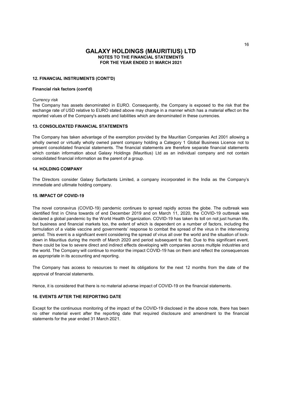#### 12. FINANCIAL INSTRUMENTS (CONT'D)

#### Financial risk factors (cont'd)

#### Currency risk

The Company has assets denominated in EURO. Consequently, the Company is exposed to the risk that the exchange rate of USD relative to EURO stated above may change in a manner which has a material effect on the reported values of the Company's assets and liabilities which are denominated in these currencies.

#### 13. CONSOLIDATED FINANCIAL STATEMENTS

The Company has taken advantage of the exemption provided by the Mauritian Companies Act 2001 allowing a wholly owned or virtually wholly owned parent company holding a Category 1 Global Business Licence not to present consolidated financial statements. The financial statements are therefore separate financial statements which contain information about Galaxy Holdings (Mauritius) Ltd as an individual company and not contain consolidated financial information as the parent of a group.

#### 14. HOLDING COMPANY

The Directors consider Galaxy Surfactants Limited, a company incorporated in the India as the Company's immediate and ultimate holding company.

#### 15. IMPACT OF COVID-19

The novel coronavirus (COVID-19) pandemic continues to spread rapidly across the globe. The outbreak was identified first in China towards of end December 2019 and on March 11, 2020, the COVID-19 outbreak was declared a global pandemic by the World Health Organization. COVID-19 has taken its toll on not just human life, but business and financial markets too, the extent of which is dependent on a number of factors, including the formulation of a viable vaccine and governments' response to combat the spread of the virus in the intervening period. This event is a significant event considering the spread of virus all over the world and the situation of lockdown in Mauritius during the month of March 2020 and period subsequent to that. Due to this significant event, there could be low to severe direct and indirect effects developing with companies across multiple industries and the world. The Company will continue to monitor the impact COVID-19 has on them and reflect the consequences as appropriate in its accounting and reporting.

The Company has access to resources to meet its obligations for the next 12 months from the date of the approval of financial statements.

Hence, it is considered that there is no material adverse impact of COVID-19 on the financial statements.

#### 16. EVENTS AFTER THE REPORTING DATE

Except for the continuous monitoring of the impact of the COVID-19 disclosed in the above note, there has been no other material event after the reporting date that required disclosure and amendment to the financial statements for the year ended 31 March 2021.